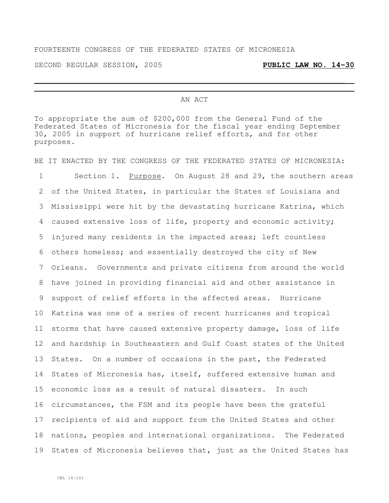## FOURTEENTH CONGRESS OF THE FEDERATED STATES OF MICRONESIA

SECOND REGULAR SESSION, 2005 **PUBLIC LAW NO. 14-30**

## AN ACT

 $\overline{a}$  , and the contribution of the contribution of the contribution of the contribution of the contribution of the contribution of the contribution of the contribution of the contribution of the contribution of the co

To appropriate the sum of \$200,000 from the General Fund of the Federated States of Micronesia for the fiscal year ending September 30, 2005 in support of hurricane relief efforts, and for other purposes.

BE IT ENACTED BY THE CONGRESS OF THE FEDERATED STATES OF MICRONESIA: Section 1. Purpose. On August 28 and 29, the southern areas of the United States, in particular the States of Louisiana and Mississippi were hit by the devastating hurricane Katrina, which caused extensive loss of life, property and economic activity; injured many residents in the impacted areas; left countless others homeless; and essentially destroyed the city of New Orleans. Governments and private citizens from around the world have joined in providing financial aid and other assistance in support of relief efforts in the affected areas. Hurricane Katrina was one of a series of recent hurricanes and tropical storms that have caused extensive property damage, loss of life and hardship in Southeastern and Gulf Coast states of the United States. On a number of occasions in the past, the Federated States of Micronesia has, itself, suffered extensive human and economic loss as a result of natural disasters. In such circumstances, the FSM and its people have been the grateful recipients of aid and support from the United States and other nations, peoples and international organizations. The Federated 19 States of Micronesia believes that, just as the United States has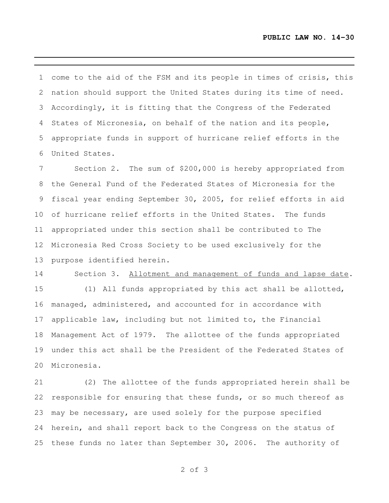come to the aid of the FSM and its people in times of crisis, this nation should support the United States during its time of need. Accordingly, it is fitting that the Congress of the Federated States of Micronesia, on behalf of the nation and its people, appropriate funds in support of hurricane relief efforts in the United States.

 Section 2. The sum of \$200,000 is hereby appropriated from the General Fund of the Federated States of Micronesia for the fiscal year ending September 30, 2005, for relief efforts in aid of hurricane relief efforts in the United States. The funds appropriated under this section shall be contributed to The Micronesia Red Cross Society to be used exclusively for the purpose identified herein.

14 Section 3. Allotment and management of funds and lapse date.

 (1) All funds appropriated by this act shall be allotted, managed, administered, and accounted for in accordance with applicable law, including but not limited to, the Financial Management Act of 1979. The allottee of the funds appropriated under this act shall be the President of the Federated States of Micronesia.

 (2) The allottee of the funds appropriated herein shall be responsible for ensuring that these funds, or so much thereof as may be necessary, are used solely for the purpose specified herein, and shall report back to the Congress on the status of these funds no later than September 30, 2006. The authority of

of 3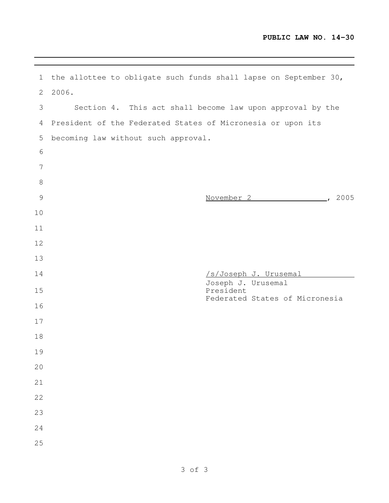|                 |       | 1 the allottee to obligate such funds shall lapse on September 30, |
|-----------------|-------|--------------------------------------------------------------------|
| 2               | 2006. |                                                                    |
| 3               |       | Section 4. This act shall become law upon approval by the          |
| 4               |       | President of the Federated States of Micronesia or upon its        |
| 5               |       | becoming law without such approval.                                |
| 6               |       |                                                                    |
| $7\phantom{.0}$ |       |                                                                    |
| $8\,$           |       |                                                                    |
| $\mathcal{G}$   |       | November 2 (2005)                                                  |
| 10              |       |                                                                    |
| 11              |       |                                                                    |
| 12              |       |                                                                    |
| 13              |       |                                                                    |
|                 |       | /s/Joseph J. Urusemal                                              |
| 14              |       |                                                                    |
| 15              |       | Joseph J. Urusemal<br>President                                    |
| 16              |       | Federated States of Micronesia                                     |
| 17              |       |                                                                    |
| 18              |       |                                                                    |
| 19              |       |                                                                    |
| 20              |       |                                                                    |
| 21              |       |                                                                    |
| 22              |       |                                                                    |
| 23              |       |                                                                    |
| 24              |       |                                                                    |